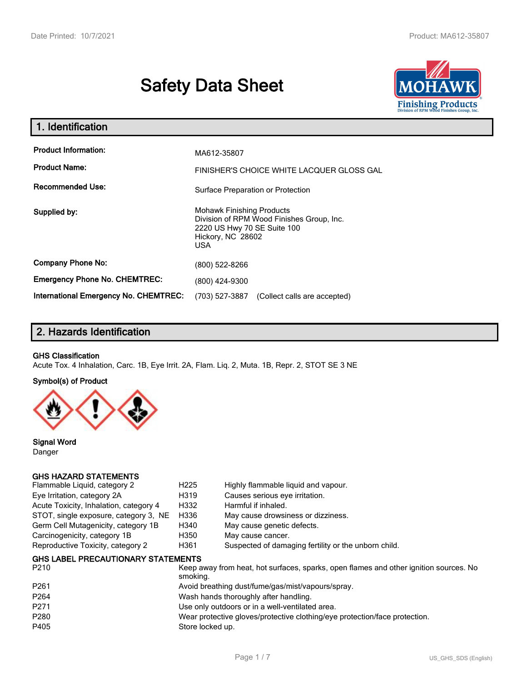# **Safety Data Sheet**



| 1. Identification                            |                                                                                                                                          |
|----------------------------------------------|------------------------------------------------------------------------------------------------------------------------------------------|
| <b>Product Information:</b>                  | MA612-35807                                                                                                                              |
| <b>Product Name:</b>                         | FINISHER'S CHOICE WHITE LACQUER GLOSS GAL                                                                                                |
| <b>Recommended Use:</b>                      | Surface Preparation or Protection                                                                                                        |
| Supplied by:                                 | <b>Mohawk Finishing Products</b><br>Division of RPM Wood Finishes Group, Inc.<br>2220 US Hwy 70 SE Suite 100<br>Hickory, NC 28602<br>USA |
| <b>Company Phone No:</b>                     | (800) 522-8266                                                                                                                           |
| <b>Emergency Phone No. CHEMTREC:</b>         | (800) 424-9300                                                                                                                           |
| <b>International Emergency No. CHEMTREC:</b> | (703) 527-3887<br>(Collect calls are accepted)                                                                                           |

# **2. Hazards Identification**

#### **GHS Classification**

Acute Tox. 4 Inhalation, Carc. 1B, Eye Irrit. 2A, Flam. Liq. 2, Muta. 1B, Repr. 2, STOT SE 3 NE

#### **Symbol(s) of Product**



**Signal Word** Danger

#### **GHS HAZARD STATEMENTS**

| Flammable Liquid, category 2           | H <sub>225</sub> | Highly flammable liquid and vapour.                  |
|----------------------------------------|------------------|------------------------------------------------------|
| Eye Irritation, category 2A            | H319             | Causes serious eye irritation.                       |
| Acute Toxicity, Inhalation, category 4 | H332             | Harmful if inhaled.                                  |
| STOT, single exposure, category 3, NE  | H336             | May cause drowsiness or dizziness.                   |
| Germ Cell Mutagenicity, category 1B    | H340             | May cause genetic defects.                           |
| Carcinogenicity, category 1B           | H350             | May cause cancer.                                    |
| Reproductive Toxicity, category 2      | H361             | Suspected of damaging fertility or the unborn child. |
|                                        |                  |                                                      |

#### **GHS LABEL PRECAUTIONARY STATEMENTS**

| P <sub>210</sub> | Keep away from heat, hot surfaces, sparks, open flames and other ignition sources. No<br>smoking. |
|------------------|---------------------------------------------------------------------------------------------------|
| P <sub>261</sub> | Avoid breathing dust/fume/gas/mist/vapours/spray.                                                 |
| P <sub>264</sub> | Wash hands thoroughly after handling.                                                             |
| P271             | Use only outdoors or in a well-ventilated area.                                                   |
| P280             | Wear protective gloves/protective clothing/eye protection/face protection.                        |
| P405             | Store locked up.                                                                                  |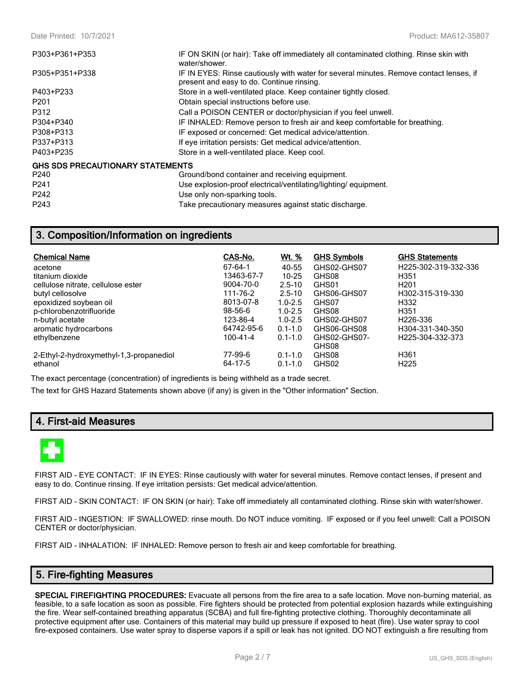| P303+P361+P353                          | IF ON SKIN (or hair): Take off immediately all contaminated clothing. Rinse skin with<br>water/shower.                              |
|-----------------------------------------|-------------------------------------------------------------------------------------------------------------------------------------|
| P305+P351+P338                          | IF IN EYES: Rinse cautiously with water for several minutes. Remove contact lenses, if<br>present and easy to do. Continue rinsing. |
| P403+P233                               | Store in a well-ventilated place. Keep container tightly closed.                                                                    |
| P <sub>201</sub>                        | Obtain special instructions before use.                                                                                             |
| P312                                    | Call a POISON CENTER or doctor/physician if you feel unwell.                                                                        |
| P304+P340                               | IF INHALED: Remove person to fresh air and keep comfortable for breathing.                                                          |
| P308+P313                               | IF exposed or concerned: Get medical advice/attention.                                                                              |
| P337+P313                               | If eye irritation persists: Get medical advice/attention.                                                                           |
| P403+P235                               | Store in a well-ventilated place. Keep cool.                                                                                        |
| <b>GHS SDS PRECAUTIONARY STATEMENTS</b> |                                                                                                                                     |
| P240                                    | Ground/bond container and receiving equipment.                                                                                      |
| P <sub>241</sub>                        | Use explosion-proof electrical/ventilating/lighting/equipment.                                                                      |
| P242                                    | Use only non-sparking tools.                                                                                                        |
| P243                                    | Take precautionary measures against static discharge.                                                                               |

## **3. Composition/Information on ingredients**

| <b>Chemical Name</b>                    | CAS-No.       | <u>Wt. %</u> | <b>GHS Symbols</b> | <b>GHS Statements</b>             |
|-----------------------------------------|---------------|--------------|--------------------|-----------------------------------|
| acetone                                 | 67-64-1       | 40-55        | GHS02-GHS07        | H <sub>225</sub> -302-319-332-336 |
| titanium dioxide                        | 13463-67-7    | $10 - 25$    | GHS08              | H <sub>351</sub>                  |
| cellulose nitrate, cellulose ester      | 9004-70-0     | $2.5 - 10$   | GHS01              | H <sub>201</sub>                  |
| butyl cellosolve                        | 111-76-2      | $2.5 - 10$   | GHS06-GHS07        | H302-315-319-330                  |
| epoxidized soybean oil                  | 8013-07-8     | $1.0 - 2.5$  | GHS07              | H332                              |
| p-chlorobenzotrifluoride                | $98 - 56 - 6$ | $1.0 - 2.5$  | GHS08              | H <sub>351</sub>                  |
| n-butyl acetate                         | 123-86-4      | $1.0 - 2.5$  | GHS02-GHS07        | H <sub>226</sub> -336             |
| aromatic hydrocarbons                   | 64742-95-6    | $0.1 - 1.0$  | GHS06-GHS08        | H304-331-340-350                  |
| ethylbenzene                            | 100-41-4      | $0.1 - 1.0$  | GHS02-GHS07-       | H <sub>225</sub> -304-332-373     |
|                                         |               |              | GHS08              |                                   |
| 2-Ethyl-2-hydroxymethyl-1,3-propanediol | 77-99-6       | $0.1 - 1.0$  | GHS08              | H <sub>361</sub>                  |
| ethanol                                 | 64-17-5       | $0.1 - 1.0$  | GHS02              | H <sub>225</sub>                  |

The exact percentage (concentration) of ingredients is being withheld as a trade secret.

The text for GHS Hazard Statements shown above (if any) is given in the "Other information" Section.

## **4. First-aid Measures**



FIRST AID - EYE CONTACT: IF IN EYES: Rinse cautiously with water for several minutes. Remove contact lenses, if present and easy to do. Continue rinsing. If eye irritation persists: Get medical advice/attention.

FIRST AID - SKIN CONTACT: IF ON SKIN (or hair): Take off immediately all contaminated clothing. Rinse skin with water/shower.

FIRST AID - INGESTION: IF SWALLOWED: rinse mouth. Do NOT induce vomiting. IF exposed or if you feel unwell: Call a POISON CENTER or doctor/physician.

FIRST AID - INHALATION: IF INHALED: Remove person to fresh air and keep comfortable for breathing.

## **5. Fire-fighting Measures**

**SPECIAL FIREFIGHTING PROCEDURES:** Evacuate all persons from the fire area to a safe location. Move non-burning material, as feasible, to a safe location as soon as possible. Fire fighters should be protected from potential explosion hazards while extinguishing the fire. Wear self-contained breathing apparatus (SCBA) and full fire-fighting protective clothing. Thoroughly decontaminate all protective equipment after use. Containers of this material may build up pressure if exposed to heat (fire). Use water spray to cool fire-exposed containers. Use water spray to disperse vapors if a spill or leak has not ignited. DO NOT extinguish a fire resulting from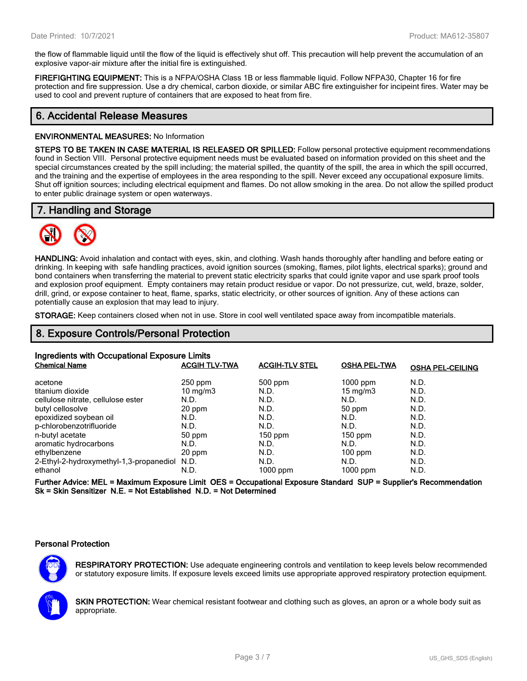the flow of flammable liquid until the flow of the liquid is effectively shut off. This precaution will help prevent the accumulation of an explosive vapor-air mixture after the initial fire is extinguished.

**FIREFIGHTING EQUIPMENT:** This is a NFPA/OSHA Class 1B or less flammable liquid. Follow NFPA30, Chapter 16 for fire protection and fire suppression. Use a dry chemical, carbon dioxide, or similar ABC fire extinguisher for incipeint fires. Water may be used to cool and prevent rupture of containers that are exposed to heat from fire.

## **6. Accidental Release Measures**

#### **ENVIRONMENTAL MEASURES:** No Information

**STEPS TO BE TAKEN IN CASE MATERIAL IS RELEASED OR SPILLED:** Follow personal protective equipment recommendations found in Section VIII. Personal protective equipment needs must be evaluated based on information provided on this sheet and the special circumstances created by the spill including; the material spilled, the quantity of the spill, the area in which the spill occurred, and the training and the expertise of employees in the area responding to the spill. Never exceed any occupational exposure limits. Shut off ignition sources; including electrical equipment and flames. Do not allow smoking in the area. Do not allow the spilled product to enter public drainage system or open waterways.

## **7. Handling and Storage**



**HANDLING:** Avoid inhalation and contact with eyes, skin, and clothing. Wash hands thoroughly after handling and before eating or drinking. In keeping with safe handling practices, avoid ignition sources (smoking, flames, pilot lights, electrical sparks); ground and bond containers when transferring the material to prevent static electricity sparks that could ignite vapor and use spark proof tools and explosion proof equipment. Empty containers may retain product residue or vapor. Do not pressurize, cut, weld, braze, solder, drill, grind, or expose container to heat, flame, sparks, static electricity, or other sources of ignition. Any of these actions can potentially cause an explosion that may lead to injury.

**STORAGE:** Keep containers closed when not in use. Store in cool well ventilated space away from incompatible materials.

## **8. Exposure Controls/Personal Protection**

| Ingredients with Occupational Exposure Limits |                      |                       |                     |                         |  |
|-----------------------------------------------|----------------------|-----------------------|---------------------|-------------------------|--|
| <b>Chemical Name</b>                          | <b>ACGIH TLV-TWA</b> | <b>ACGIH-TLV STEL</b> | <b>OSHA PEL-TWA</b> | <b>OSHA PEL-CEILING</b> |  |
| acetone                                       | $250$ ppm            | $500$ ppm             | $1000$ ppm          | N.D.                    |  |
| titanium dioxide                              | $10 \text{ mg/m}$    | N.D.                  | $15 \text{ mg/m}$   | N.D.                    |  |
| cellulose nitrate, cellulose ester            | N.D.                 | N.D.                  | N.D.                | N.D.                    |  |
| butyl cellosolve                              | 20 ppm               | N.D.                  | 50 ppm              | N.D.                    |  |
| epoxidized soybean oil                        | N.D.                 | N.D.                  | N.D.                | N.D.                    |  |
| p-chlorobenzotrifluoride                      | N.D.                 | N.D.                  | N.D.                | N.D.                    |  |
| n-butyl acetate                               | 50 ppm               | $150$ ppm             | $150$ ppm           | N.D.                    |  |
| aromatic hydrocarbons                         | N.D.                 | N.D.                  | N.D.                | N.D.                    |  |
| ethylbenzene                                  | 20 ppm               | N.D.                  | $100$ ppm           | N.D.                    |  |
| 2-Ethyl-2-hydroxymethyl-1,3-propanediol N.D.  |                      | N.D.                  | N.D.                | N.D.                    |  |
| ethanol                                       | N.D.                 | 1000 ppm              | $1000$ ppm          | N.D.                    |  |

**Further Advice: MEL = Maximum Exposure Limit OES = Occupational Exposure Standard SUP = Supplier's Recommendation Sk = Skin Sensitizer N.E. = Not Established N.D. = Not Determined**

#### **Personal Protection**



**RESPIRATORY PROTECTION:** Use adequate engineering controls and ventilation to keep levels below recommended or statutory exposure limits. If exposure levels exceed limits use appropriate approved respiratory protection equipment.

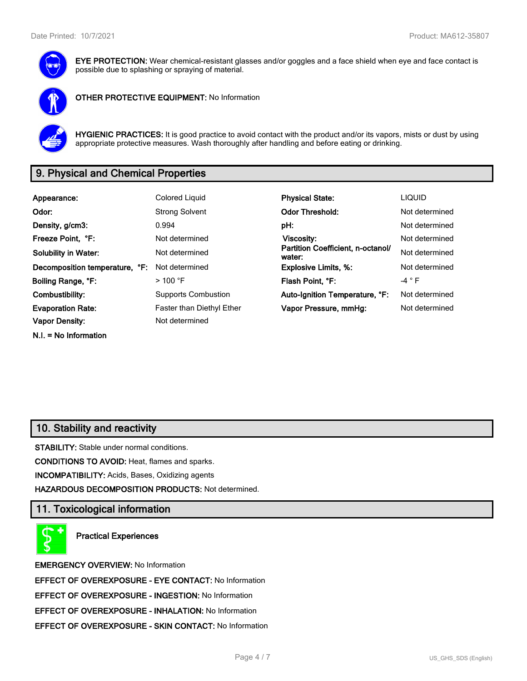

**EYE PROTECTION:** Wear chemical-resistant glasses and/or goggles and a face shield when eye and face contact is possible due to splashing or spraying of material.



**OTHER PROTECTIVE EQUIPMENT:** No Information



**HYGIENIC PRACTICES:** It is good practice to avoid contact with the product and/or its vapors, mists or dust by using appropriate protective measures. Wash thoroughly after handling and before eating or drinking.

# **9. Physical and Chemical Properties**

| Appearance:                    | <b>Colored Liquid</b>            | <b>Physical State:</b>                      | <b>LIQUID</b>   |
|--------------------------------|----------------------------------|---------------------------------------------|-----------------|
| Odor:                          | <b>Strong Solvent</b>            | <b>Odor Threshold:</b>                      | Not determined  |
| Density, g/cm3:                | 0.994                            | pH:                                         | Not determined  |
| Freeze Point, °F:              | Not determined                   | <b>Viscosity:</b>                           | Not determined  |
| <b>Solubility in Water:</b>    | Not determined                   | Partition Coefficient, n-octanol/<br>water: | Not determined  |
| Decomposition temperature, °F: | Not determined                   | <b>Explosive Limits, %:</b>                 | Not determined  |
| Boiling Range, °F:             | $>$ 100 °F                       | Flash Point, °F:                            | -4 $^{\circ}$ F |
| Combustibility:                | <b>Supports Combustion</b>       | Auto-Ignition Temperature, °F:              | Not determined  |
| <b>Evaporation Rate:</b>       | <b>Faster than Diethyl Ether</b> | Vapor Pressure, mmHg:                       | Not determined  |
| <b>Vapor Density:</b>          | Not determined                   |                                             |                 |
| $N.I. = No Information$        |                                  |                                             |                 |

## **10. Stability and reactivity**

**STABILITY:** Stable under normal conditions.

**CONDITIONS TO AVOID:** Heat, flames and sparks.

**INCOMPATIBILITY:** Acids, Bases, Oxidizing agents

**HAZARDOUS DECOMPOSITION PRODUCTS:** Not determined.

## **11. Toxicological information**

**Practical Experiences**

**EMERGENCY OVERVIEW:** No Information **EFFECT OF OVEREXPOSURE - EYE CONTACT:** No Information **EFFECT OF OVEREXPOSURE - INGESTION:** No Information **EFFECT OF OVEREXPOSURE - INHALATION:** No Information **EFFECT OF OVEREXPOSURE - SKIN CONTACT:** No Information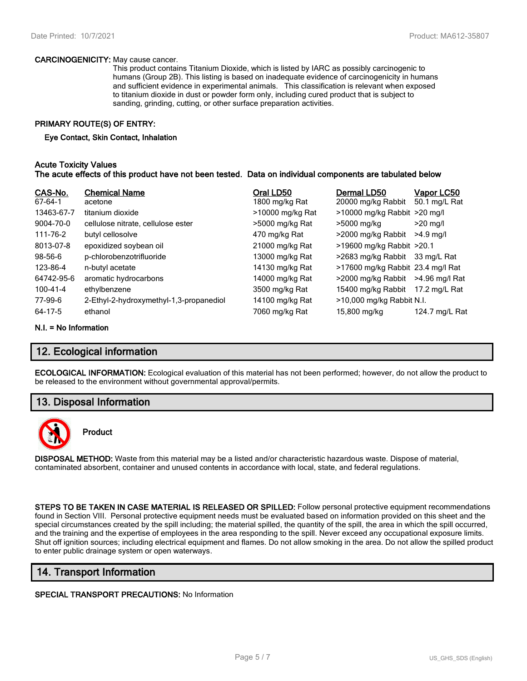#### **CARCINOGENICITY:** May cause cancer.

This product contains Titanium Dioxide, which is listed by IARC as possibly carcinogenic to humans (Group 2B). This listing is based on inadequate evidence of carcinogenicity in humans and sufficient evidence in experimental animals. This classification is relevant when exposed to titanium dioxide in dust or powder form only, including cured product that is subject to sanding, grinding, cutting, or other surface preparation activities.

#### **PRIMARY ROUTE(S) OF ENTRY:**

#### **Eye Contact, Skin Contact, Inhalation**

#### **Acute Toxicity Values The acute effects of this product have not been tested. Data on individual components are tabulated below**

| CAS-No.    | <b>Chemical Name</b>                    | Oral LD50        | Dermal LD50                       | Vapor LC50     |
|------------|-----------------------------------------|------------------|-----------------------------------|----------------|
| 67-64-1    | acetone                                 | 1800 mg/kg Rat   | 20000 mg/kg Rabbit                | 50.1 mg/L Rat  |
| 13463-67-7 | titanium dioxide                        | >10000 mg/kg Rat | $>10000$ mg/kg Rabbit $>20$ mg/l  |                |
| 9004-70-0  | cellulose nitrate, cellulose ester      | >5000 mg/kg Rat  | >5000 mg/kg                       | $>20$ mg/l     |
| 111-76-2   | butyl cellosolve                        | 470 mg/kg Rat    | >2000 mg/kg Rabbit                | $>4.9$ ma/l    |
| 8013-07-8  | epoxidized soybean oil                  | 21000 mg/kg Rat  | >19600 mg/kg Rabbit >20.1         |                |
| $98-56-6$  | p-chlorobenzotrifluoride                | 13000 mg/kg Rat  | >2683 mg/kg Rabbit 33 mg/L Rat    |                |
| 123-86-4   | n-butyl acetate                         | 14130 mg/kg Rat  | >17600 mg/kg Rabbit 23.4 mg/l Rat |                |
| 64742-95-6 | aromatic hydrocarbons                   | 14000 mg/kg Rat  | >2000 mg/kg Rabbit                | >4.96 mg/l Rat |
| 100-41-4   | ethylbenzene                            | 3500 mg/kg Rat   | 15400 mg/kg Rabbit                | 17.2 mg/L Rat  |
| 77-99-6    | 2-Ethyl-2-hydroxymethyl-1,3-propanediol | 14100 mg/kg Rat  | >10,000 mg/kg Rabbit N.I.         |                |
| 64-17-5    | ethanol                                 | 7060 mg/kg Rat   | 15,800 mg/kg                      | 124.7 mg/L Rat |

#### **N.I. = No Information**

## **12. Ecological information**

**ECOLOGICAL INFORMATION:** Ecological evaluation of this material has not been performed; however, do not allow the product to be released to the environment without governmental approval/permits.

## **13. Disposal Information**



## **Product**

**DISPOSAL METHOD:** Waste from this material may be a listed and/or characteristic hazardous waste. Dispose of material, contaminated absorbent, container and unused contents in accordance with local, state, and federal regulations.

**STEPS TO BE TAKEN IN CASE MATERIAL IS RELEASED OR SPILLED:** Follow personal protective equipment recommendations found in Section VIII. Personal protective equipment needs must be evaluated based on information provided on this sheet and the special circumstances created by the spill including; the material spilled, the quantity of the spill, the area in which the spill occurred, and the training and the expertise of employees in the area responding to the spill. Never exceed any occupational exposure limits. Shut off ignition sources; including electrical equipment and flames. Do not allow smoking in the area. Do not allow the spilled product to enter public drainage system or open waterways.

## **14. Transport Information**

#### **SPECIAL TRANSPORT PRECAUTIONS:** No Information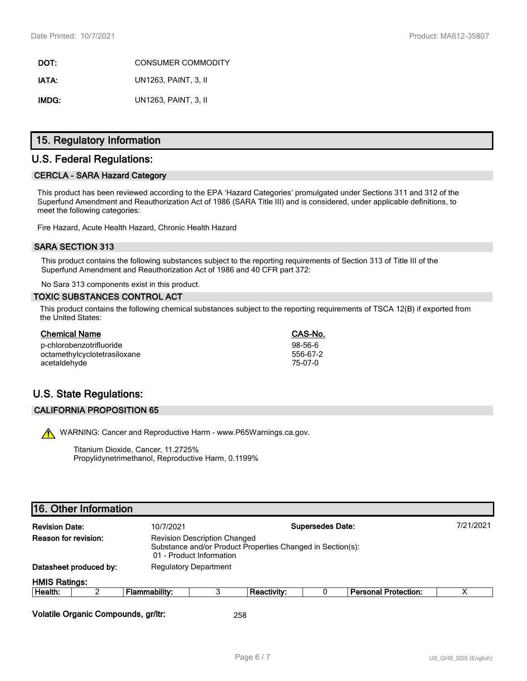**DOT:** CONSUMER COMMODITY **IATA:** UN1263, PAINT, 3, II **IMDG:** UN1263, PAINT, 3, II

## **15. Regulatory Information**

## **U.S. Federal Regulations:**

#### **CERCLA - SARA Hazard Category**

This product has been reviewed according to the EPA 'Hazard Categories' promulgated under Sections 311 and 312 of the Superfund Amendment and Reauthorization Act of 1986 (SARA Title III) and is considered, under applicable definitions, to meet the following categories:

Fire Hazard, Acute Health Hazard, Chronic Health Hazard

#### **SARA SECTION 313**

This product contains the following substances subject to the reporting requirements of Section 313 of Title III of the Superfund Amendment and Reauthorization Act of 1986 and 40 CFR part 372:

No Sara 313 components exist in this product.

#### **TOXIC SUBSTANCES CONTROL ACT**

This product contains the following chemical substances subject to the reporting requirements of TSCA 12(B) if exported from the United States:

| <b>Chemical Name</b>         | CAS-No.   |
|------------------------------|-----------|
| p-chlorobenzotrifluoride     | $98-56-6$ |
| octamethylcyclotetrasiloxane | 556-67-2  |
| acetaldehyde                 | 75-07-0   |

# **U.S. State Regulations:**

#### **CALIFORNIA PROPOSITION 65**

WARNING: Cancer and Reproductive Harm - www.P65Warnings.ca.gov.

Titanium Dioxide, Cancer, 11.2725% Propylidynetrimethanol, Reproductive Harm, 0.1199%

# **16. Other Information**

| <b>Revision Date:</b> |                        | <b>Supersedes Date:</b><br>10/7/2021                                                                                          |  |             |  |                             | 7/21/2021 |
|-----------------------|------------------------|-------------------------------------------------------------------------------------------------------------------------------|--|-------------|--|-----------------------------|-----------|
| Reason for revision:  |                        | <b>Revision Description Changed</b><br>Substance and/or Product Properties Changed in Section(s):<br>01 - Product Information |  |             |  |                             |           |
|                       | Datasheet produced by: | <b>Regulatory Department</b>                                                                                                  |  |             |  |                             |           |
| <b>HMIS Ratings:</b>  |                        |                                                                                                                               |  |             |  |                             |           |
| Health:               |                        | Flammability:                                                                                                                 |  | Reactivity: |  | <b>Personal Protection:</b> |           |
|                       |                        |                                                                                                                               |  |             |  |                             |           |

**Volatile Organic Compounds, gr/ltr:** 258